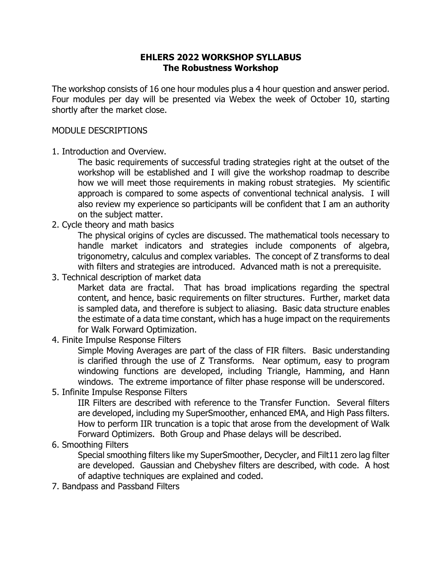## **EHLERS 2022 WORKSHOP SYLLABUS The Robustness Workshop**

The workshop consists of 16 one hour modules plus a 4 hour question and answer period. Four modules per day will be presented via Webex the week of October 10, starting shortly after the market close.

### MODULE DESCRIPTIONS

1. Introduction and Overview.

The basic requirements of successful trading strategies right at the outset of the workshop will be established and I will give the workshop roadmap to describe how we will meet those requirements in making robust strategies. My scientific approach is compared to some aspects of conventional technical analysis. I will also review my experience so participants will be confident that I am an authority on the subject matter.

2. Cycle theory and math basics

The physical origins of cycles are discussed. The mathematical tools necessary to handle market indicators and strategies include components of algebra, trigonometry, calculus and complex variables. The concept of Z transforms to deal with filters and strategies are introduced. Advanced math is not a prerequisite.

3. Technical description of market data

Market data are fractal. That has broad implications regarding the spectral content, and hence, basic requirements on filter structures. Further, market data is sampled data, and therefore is subject to aliasing. Basic data structure enables the estimate of a data time constant, which has a huge impact on the requirements for Walk Forward Optimization.

4. Finite Impulse Response Filters

Simple Moving Averages are part of the class of FIR filters. Basic understanding is clarified through the use of Z Transforms. Near optimum, easy to program windowing functions are developed, including Triangle, Hamming, and Hann windows. The extreme importance of filter phase response will be underscored.

5. Infinite Impulse Response Filters

IIR Filters are described with reference to the Transfer Function. Several filters are developed, including my SuperSmoother, enhanced EMA, and High Pass filters. How to perform IIR truncation is a topic that arose from the development of Walk Forward Optimizers. Both Group and Phase delays will be described.

# 6. Smoothing Filters

Special smoothing filters like my SuperSmoother, Decycler, and Filt11 zero lag filter are developed. Gaussian and Chebyshev filters are described, with code. A host of adaptive techniques are explained and coded.

7. Bandpass and Passband Filters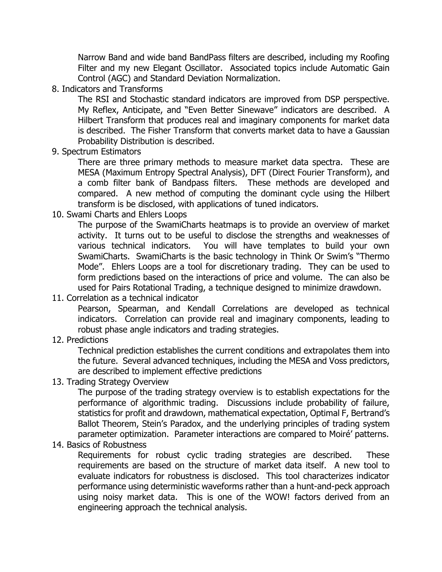Narrow Band and wide band BandPass filters are described, including my Roofing Filter and my new Elegant Oscillator. Associated topics include Automatic Gain Control (AGC) and Standard Deviation Normalization.

8. Indicators and Transforms

The RSI and Stochastic standard indicators are improved from DSP perspective. My Reflex, Anticipate, and "Even Better Sinewave" indicators are described. A Hilbert Transform that produces real and imaginary components for market data is described. The Fisher Transform that converts market data to have a Gaussian Probability Distribution is described.

9. Spectrum Estimators

There are three primary methods to measure market data spectra. These are MESA (Maximum Entropy Spectral Analysis), DFT (Direct Fourier Transform), and a comb filter bank of Bandpass filters. These methods are developed and compared. A new method of computing the dominant cycle using the Hilbert transform is be disclosed, with applications of tuned indicators.

10. Swami Charts and Ehlers Loops

The purpose of the SwamiCharts heatmaps is to provide an overview of market activity. It turns out to be useful to disclose the strengths and weaknesses of various technical indicators. You will have templates to build your own SwamiCharts. SwamiCharts is the basic technology in Think Or Swim's "Thermo Mode". Ehlers Loops are a tool for discretionary trading. They can be used to form predictions based on the interactions of price and volume. The can also be used for Pairs Rotational Trading, a technique designed to minimize drawdown.

11. Correlation as a technical indicator

Pearson, Spearman, and Kendall Correlations are developed as technical indicators. Correlation can provide real and imaginary components, leading to robust phase angle indicators and trading strategies.

12. Predictions

Technical prediction establishes the current conditions and extrapolates them into the future. Several advanced techniques, including the MESA and Voss predictors, are described to implement effective predictions

13. Trading Strategy Overview

The purpose of the trading strategy overview is to establish expectations for the performance of algorithmic trading. Discussions include probability of failure, statistics for profit and drawdown, mathematical expectation, Optimal F, Bertrand's Ballot Theorem, Stein's Paradox, and the underlying principles of trading system parameter optimization. Parameter interactions are compared to Moiré' patterns.

14. Basics of Robustness

Requirements for robust cyclic trading strategies are described. These requirements are based on the structure of market data itself. A new tool to evaluate indicators for robustness is disclosed. This tool characterizes indicator performance using deterministic waveforms rather than a hunt-and-peck approach using noisy market data. This is one of the WOW! factors derived from an engineering approach the technical analysis.